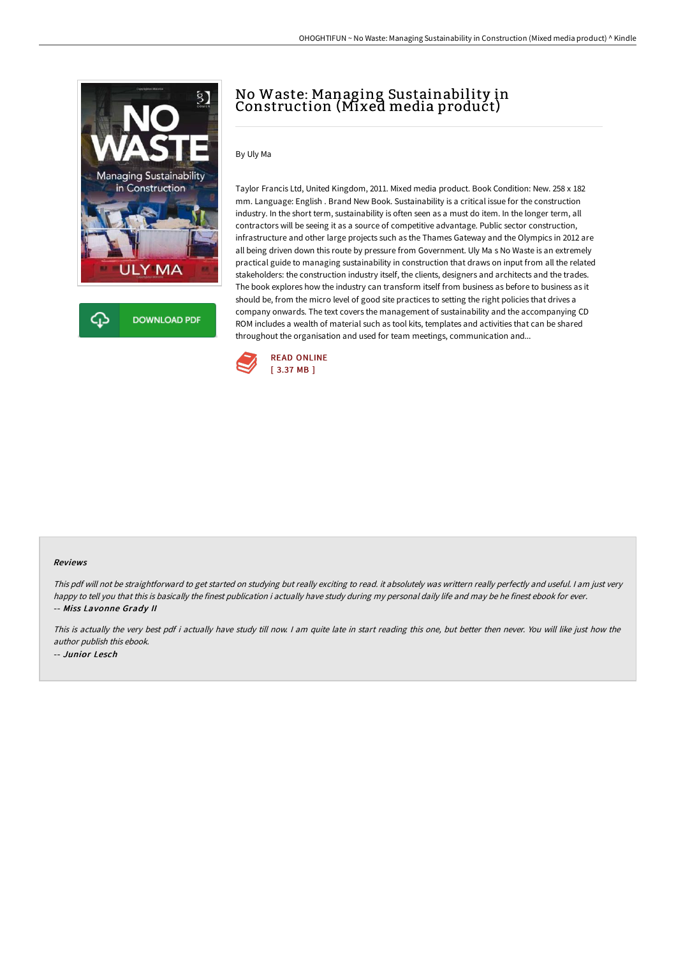

## No Waste: Managing Sustainability in Construction (Mixed media product)

By Uly Ma

Taylor Francis Ltd, United Kingdom, 2011. Mixed media product. Book Condition: New. 258 x 182 mm. Language: English . Brand New Book. Sustainability is a critical issue for the construction industry. In the short term, sustainability is often seen as a must do item. In the longer term, all contractors will be seeing it as a source of competitive advantage. Public sector construction, infrastructure and other large projects such as the Thames Gateway and the Olympics in 2012 are all being driven down this route by pressure from Government. Uly Ma s No Waste is an extremely practical guide to managing sustainability in construction that draws on input from all the related stakeholders: the construction industry itself, the clients, designers and architects and the trades. The book explores how the industry can transform itself from business as before to business as it should be, from the micro level of good site practices to setting the right policies that drives a company onwards. The text covers the management of sustainability and the accompanying CD ROM includes a wealth of material such as tool kits, templates and activities that can be shared throughout the organisation and used for team meetings, communication and...



## Reviews

This pdf will not be straightforward to get started on studying but really exciting to read. it absolutely was writtern really perfectly and useful. <sup>I</sup> am just very happy to tell you that this is basically the finest publication i actually have study during my personal daily life and may be he finest ebook for ever. -- Miss Lavonne Grady II

This is actually the very best pdf i actually have study till now. <sup>I</sup> am quite late in start reading this one, but better then never. You will like just how the author publish this ebook. -- Junior Lesch